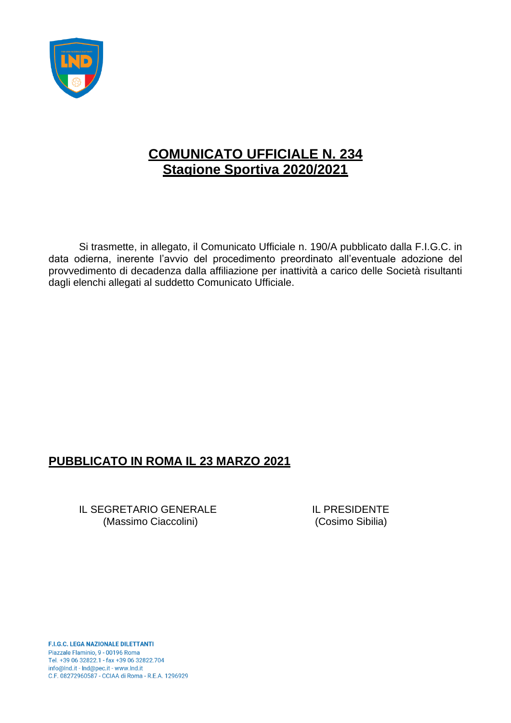

## **COMUNICATO UFFICIALE N. 234 Stagione Sportiva 2020/2021**

Si trasmette, in allegato, il Comunicato Ufficiale n. 190/A pubblicato dalla F.I.G.C. in data odierna, inerente l'avvio del procedimento preordinato all'eventuale adozione del provvedimento di decadenza dalla affiliazione per inattività a carico delle Società risultanti dagli elenchi allegati al suddetto Comunicato Ufficiale.

## **PUBBLICATO IN ROMA IL 23 MARZO 2021**

IL SEGRETARIO GENERALE IL PRESIDENTE (Massimo Ciaccolini) (Cosimo Sibilia)

**F.I.G.C. LEGA NAZIONALE DILETTANTI** Piazzale Flaminio, 9 - 00196 Roma Tel. +39 06 32822.1 - fax +39 06 32822.704 info@lnd.it - Ind@pec.it - www.lnd.it C.F. 08272960587 - CCIAA di Roma - R.E.A. 1296929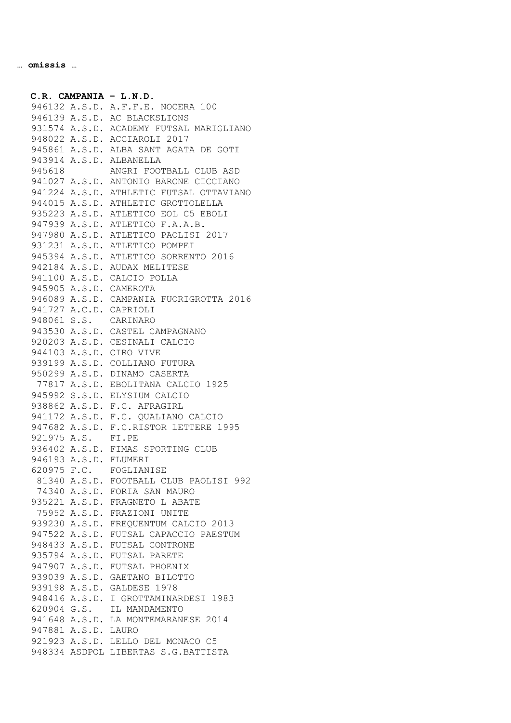**C.R. CAMPANIA – L.N.D.** A.S.D. A.F.F.E. NOCERA 100 A.S.D. AC BLACKSLIONS A.S.D. ACADEMY FUTSAL MARIGLIANO A.S.D. ACCIAROLI 2017 A.S.D. ALBA SANT AGATA DE GOTI A.S.D. ALBANELLA ANGRI FOOTBALL CLUB ASD A.S.D. ANTONIO BARONE CICCIANO A.S.D. ATHLETIC FUTSAL OTTAVIANO A.S.D. ATHLETIC GROTTOLELLA A.S.D. ATLETICO EOL C5 EBOLI A.S.D. ATLETICO F.A.A.B. A.S.D. ATLETICO PAOLISI 2017 A.S.D. ATLETICO POMPEI A.S.D. ATLETICO SORRENTO 2016 A.S.D. AUDAX MELITESE A.S.D. CALCIO POLLA A.S.D. CAMEROTA A.S.D. CAMPANIA FUORIGROTTA 2016 A.C.D. CAPRIOLI S.S. CARINARO A.S.D. CASTEL CAMPAGNANO A.S.D. CESINALI CALCIO A.S.D. CIRO VIVE A.S.D. COLLIANO FUTURA A.S.D. DINAMO CASERTA A.S.D. EBOLITANA CALCIO 1925 S.S.D. ELYSIUM CALCIO A.S.D. F.C. AFRAGIRL A.S.D. F.C. QUALIANO CALCIO A.S.D. F.C.RISTOR LETTERE 1995 A.S. FI.PE A.S.D. FIMAS SPORTING CLUB A.S.D. FLUMERI F.C. FOGLIANISE A.S.D. FOOTBALL CLUB PAOLISI 992 A.S.D. FORIA SAN MAURO A.S.D. FRAGNETO L ABATE A.S.D. FRAZIONI UNITE A.S.D. FREQUENTUM CALCIO 2013 A.S.D. FUTSAL CAPACCIO PAESTUM A.S.D. FUTSAL CONTRONE A.S.D. FUTSAL PARETE A.S.D. FUTSAL PHOENIX A.S.D. GAETANO BILOTTO A.S.D. GALDESE 1978 A.S.D. I GROTTAMINARDESI 1983 G.S. IL MANDAMENTO A.S.D. LA MONTEMARANESE 2014 A.S.D. LAURO A.S.D. LELLO DEL MONACO C5 ASDPOL LIBERTAS S.G.BATTISTA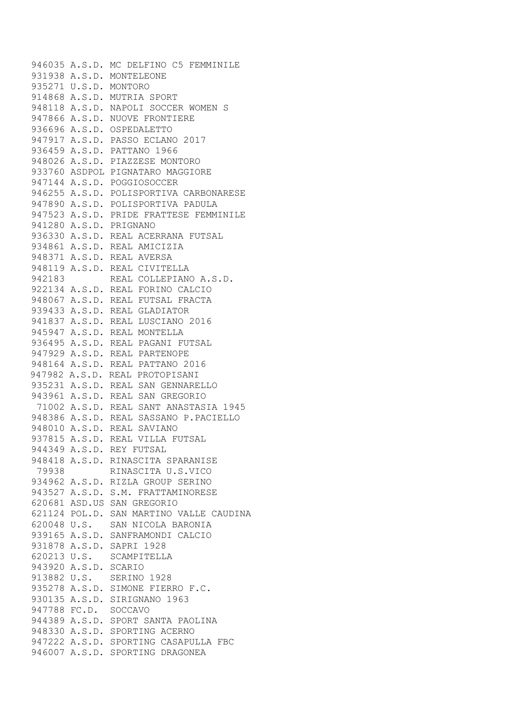A.S.D. MC DELFINO C5 FEMMINILE A.S.D. MONTELEONE U.S.D. MONTORO A.S.D. MUTRIA SPORT A.S.D. NAPOLI SOCCER WOMEN S A.S.D. NUOVE FRONTIERE A.S.D. OSPEDALETTO A.S.D. PASSO ECLANO 2017 A.S.D. PATTANO 1966 A.S.D. PIAZZESE MONTORO ASDPOL PIGNATARO MAGGIORE A.S.D. POGGIOSOCCER A.S.D. POLISPORTIVA CARBONARESE A.S.D. POLISPORTIVA PADULA A.S.D. PRIDE FRATTESE FEMMINILE A.S.D. PRIGNANO A.S.D. REAL ACERRANA FUTSAL A.S.D. REAL AMICIZIA A.S.D. REAL AVERSA A.S.D. REAL CIVITELLA REAL COLLEPIANO A.S.D. A.S.D. REAL FORINO CALCIO A.S.D. REAL FUTSAL FRACTA A.S.D. REAL GLADIATOR A.S.D. REAL LUSCIANO 2016 A.S.D. REAL MONTELLA A.S.D. REAL PAGANI FUTSAL A.S.D. REAL PARTENOPE A.S.D. REAL PATTANO 2016 A.S.D. REAL PROTOPISANI A.S.D. REAL SAN GENNARELLO A.S.D. REAL SAN GREGORIO A.S.D. REAL SANT ANASTASIA 1945 A.S.D. REAL SASSANO P.PACIELLO A.S.D. REAL SAVIANO A.S.D. REAL VILLA FUTSAL A.S.D. REY FUTSAL A.S.D. RINASCITA SPARANISE RINASCITA U.S.VICO A.S.D. RIZLA GROUP SERINO A.S.D. S.M. FRATTAMINORESE ASD.US SAN GREGORIO POL.D. SAN MARTINO VALLE CAUDINA U.S. SAN NICOLA BARONIA A.S.D. SANFRAMONDI CALCIO A.S.D. SAPRI 1928 U.S. SCAMPITELLA A.S.D. SCARIO U.S. SERINO 1928 A.S.D. SIMONE FIERRO F.C. A.S.D. SIRIGNANO 1963 FC.D. SOCCAVO A.S.D. SPORT SANTA PAOLINA A.S.D. SPORTING ACERNO A.S.D. SPORTING CASAPULLA FBC A.S.D. SPORTING DRAGONEA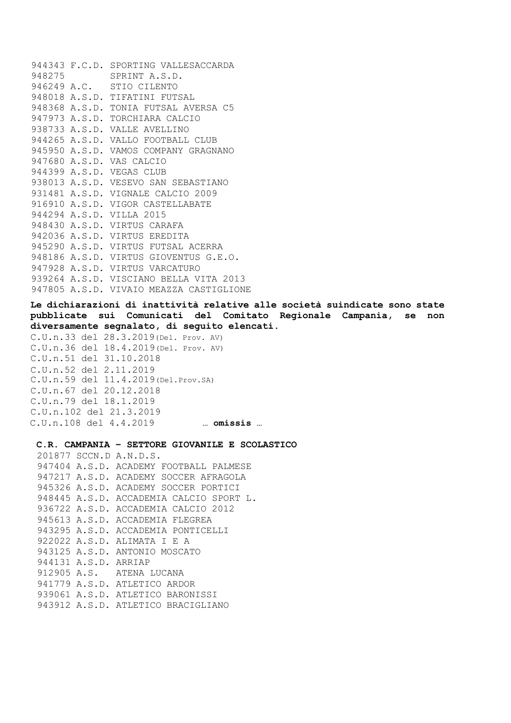F.C.D. SPORTING VALLESACCARDA SPRINT A.S.D. A.C. STIO CILENTO A.S.D. TIFATINI FUTSAL A.S.D. TONIA FUTSAL AVERSA C5 A.S.D. TORCHIARA CALCIO A.S.D. VALLE AVELLINO A.S.D. VALLO FOOTBALL CLUB A.S.D. VAMOS COMPANY GRAGNANO A.S.D. VAS CALCIO A.S.D. VEGAS CLUB A.S.D. VESEVO SAN SEBASTIANO A.S.D. VIGNALE CALCIO 2009 A.S.D. VIGOR CASTELLABATE A.S.D. VILLA 2015 A.S.D. VIRTUS CARAFA A.S.D. VIRTUS EREDITA A.S.D. VIRTUS FUTSAL ACERRA A.S.D. VIRTUS GIOVENTUS G.E.O. A.S.D. VIRTUS VARCATURO A.S.D. VISCIANO BELLA VITA 2013 A.S.D. VIVAIO MEAZZA CASTIGLIONE

**Le dichiarazioni di inattività relative alle società suindicate sono state pubblicate sui Comunicati del Comitato Regionale Campania, se non diversamente segnalato, di seguito elencati.**

```
C.U.n.33 del 28.3.2019(Del. Prov. AV)
C.U.n.36 del 18.4.2019(Del. Prov. AV)
C.U.n.51 del 31.10.2018
C.U.n.52 del 2.11.2019
C.U.n.59 del 11.4.2019(Del.Prov.SA)
C.U.n.67 del 20.12.2018
C.U.n.79 del 18.1.2019
C.U.n.102 del 21.3.2019
 C.U.n.108 del 4.4.2019 … omissis …
```
**C.R. CAMPANIA – SETTORE GIOVANILE E SCOLASTICO** SCCN.D A.N.D.S. A.S.D. ACADEMY FOOTBALL PALMESE A.S.D. ACADEMY SOCCER AFRAGOLA A.S.D. ACADEMY SOCCER PORTICI A.S.D. ACCADEMIA CALCIO SPORT L. A.S.D. ACCADEMIA CALCIO 2012 A.S.D. ACCADEMIA FLEGREA A.S.D. ACCADEMIA PONTICELLI A.S.D. ALIMATA I E A A.S.D. ANTONIO MOSCATO A.S.D. ARRIAP A.S. ATENA LUCANA A.S.D. ATLETICO ARDOR A.S.D. ATLETICO BARONISSI A.S.D. ATLETICO BRACIGLIANO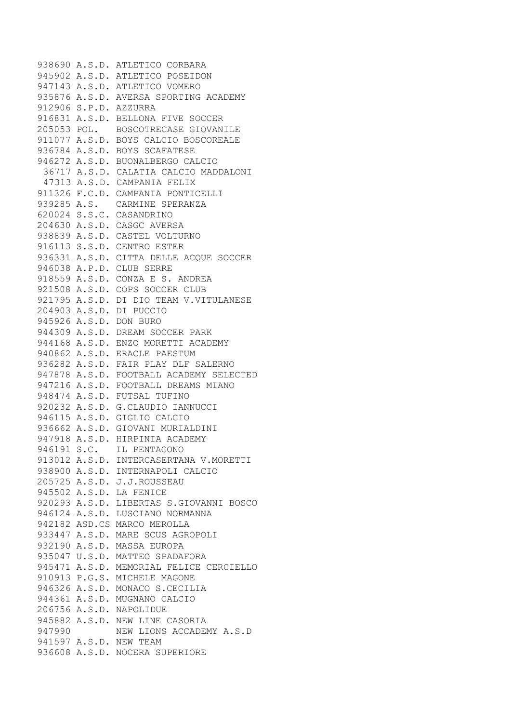A.S.D. ATLETICO CORBARA A.S.D. ATLETICO POSEIDON A.S.D. ATLETICO VOMERO A.S.D. AVERSA SPORTING ACADEMY S.P.D. AZZURRA A.S.D. BELLONA FIVE SOCCER POL. BOSCOTRECASE GIOVANILE A.S.D. BOYS CALCIO BOSCOREALE A.S.D. BOYS SCAFATESE A.S.D. BUONALBERGO CALCIO A.S.D. CALATIA CALCIO MADDALONI A.S.D. CAMPANIA FELIX F.C.D. CAMPANIA PONTICELLI A.S. CARMINE SPERANZA S.S.C. CASANDRINO A.S.D. CASGC AVERSA A.S.D. CASTEL VOLTURNO S.S.D. CENTRO ESTER A.S.D. CITTA DELLE ACQUE SOCCER A.P.D. CLUB SERRE A.S.D. CONZA E S. ANDREA A.S.D. COPS SOCCER CLUB A.S.D. DI DIO TEAM V.VITULANESE A.S.D. DI PUCCIO A.S.D. DON BURO A.S.D. DREAM SOCCER PARK A.S.D. ENZO MORETTI ACADEMY A.S.D. ERACLE PAESTUM A.S.D. FAIR PLAY DLF SALERNO A.S.D. FOOTBALL ACADEMY SELECTED A.S.D. FOOTBALL DREAMS MIANO A.S.D. FUTSAL TUFINO A.S.D. G.CLAUDIO IANNUCCI A.S.D. GIGLIO CALCIO A.S.D. GIOVANI MURIALDINI A.S.D. HIRPINIA ACADEMY S.C. IL PENTAGONO A.S.D. INTERCASERTANA V.MORETTI A.S.D. INTERNAPOLI CALCIO A.S.D. J.J.ROUSSEAU A.S.D. LA FENICE A.S.D. LIBERTAS S.GIOVANNI BOSCO A.S.D. LUSCIANO NORMANNA ASD.CS MARCO MEROLLA A.S.D. MARE SCUS AGROPOLI A.S.D. MASSA EUROPA U.S.D. MATTEO SPADAFORA A.S.D. MEMORIAL FELICE CERCIELLO P.G.S. MICHELE MAGONE A.S.D. MONACO S.CECILIA A.S.D. MUGNANO CALCIO A.S.D. NAPOLIDUE A.S.D. NEW LINE CASORIA NEW LIONS ACCADEMY A.S.D A.S.D. NEW TEAM A.S.D. NOCERA SUPERIORE